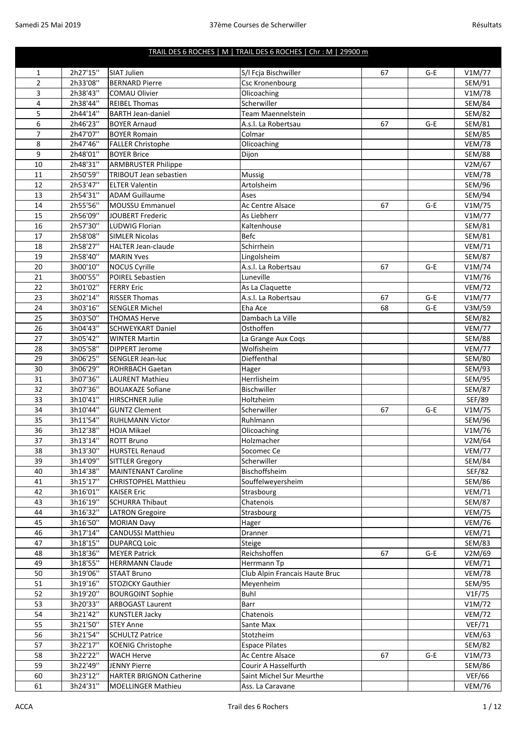## TRAIL DES 6 ROCHES | M | TRAIL DES 6 ROCHES | Chr : M | 29900 m

| 1              | 2h27'15"             | <b>SIAT Julien</b>                                | S/I Fcja Bischwiller           | 67 | G-E   | V1M/77                         |
|----------------|----------------------|---------------------------------------------------|--------------------------------|----|-------|--------------------------------|
| $\overline{2}$ | 2h33'08"             | <b>BERNARD Pierre</b>                             | Csc Kronenbourg                |    |       | SEM/91                         |
| 3              | 2h38'43"             | <b>COMAU Olivier</b>                              | Olicoaching                    |    |       | V1M/78                         |
| 4              | 2h38'44"             | <b>REIBEL Thomas</b>                              | Scherwiller                    |    |       | <b>SEM/84</b>                  |
| 5              | 2h44'14"             | <b>BARTH Jean-daniel</b>                          | <b>Team Maennelstein</b>       |    |       | <b>SEM/82</b>                  |
| 6              | 2h46'23"             | <b>BOYER Arnaud</b>                               | A.s.l. La Robertsau            | 67 | $G-E$ | <b>SEM/81</b>                  |
| 7              | 2h47'07"             | <b>BOYER Romain</b>                               | Colmar                         |    |       | <b>SEM/85</b>                  |
| 8              | 2h47'46"             | <b>FALLER Christophe</b>                          | Olicoaching                    |    |       | <b>VEM/78</b>                  |
| 9              | 2h48'01"             | <b>BOYER Brice</b>                                | Dijon                          |    |       | <b>SEM/88</b>                  |
| 10             | 2h48'31"             | <b>ARMBRUSTER Philippe</b>                        |                                |    |       | V2M/67                         |
| 11             | 2h50'59"             | TRIBOUT Jean sebastien                            | Mussig                         |    |       | <b>VEM/78</b>                  |
| 12             | 2h53'47"             | <b>ELTER Valentin</b>                             | Artolsheim                     |    |       | <b>SEM/96</b>                  |
| 13             | 2h54'31"             | <b>ADAM Guillaume</b>                             | Ases                           |    |       | SEM/94                         |
| 14             | 2h55'56"             | <b>MOUSSU Emmanuel</b>                            | Ac Centre Alsace               | 67 | $G-E$ | V1M/75                         |
| 15             | 2h56'09"             | <b>JOUBERT Frederic</b>                           | As Liebherr                    |    |       | V1M/77                         |
| 16             | 2h57'30"             | <b>LUDWIG Florian</b>                             | Kaltenhouse                    |    |       | <b>SEM/81</b>                  |
| 17             | 2h58'08"             | <b>SIMLER Nicolas</b>                             | Befc                           |    |       | <b>SEM/81</b>                  |
| 18             | 2h58'27"             | <b>HALTER Jean-claude</b>                         | Schirrhein                     |    |       | <b>VEM/71</b>                  |
| 19             | 2h58'40"             | <b>MARIN Yves</b>                                 | Lingolsheim                    |    |       | <b>SEM/87</b>                  |
| 20             | 3h00'10"             | NOCUS Cyrille                                     | A.s.l. La Robertsau            | 67 | $G-E$ | V1M/74                         |
| 21             | 3h00'55"             | POIREL Sebastien                                  | Luneville                      |    |       | V1M/76                         |
| 22             | 3h01'02"             | <b>FERRY Eric</b>                                 | As La Claquette                |    |       | <b>VEM/72</b>                  |
| 23             | 3h02'14"             | <b>RISSER Thomas</b>                              | A.s.l. La Robertsau            | 67 | G-E   | V1M/77                         |
| 24             | 3h03'16"             | <b>SENGLER Michel</b>                             | Eha Ace                        | 68 | $G-E$ | V3M/59                         |
| 25             | 3h03'50"             | <b>THOMAS Herve</b>                               | Dambach La Ville               |    |       | <b>SEM/82</b>                  |
| 26             | 3h04'43"             | <b>SCHWEYKART Daniel</b>                          | Osthoffen                      |    |       | <b>VEM/77</b>                  |
| 27             | 3h05'42"             | <b>WINTER Martin</b>                              | La Grange Aux Coqs             |    |       | <b>SEM/88</b>                  |
| 28             | 3h05'58"             | <b>DIPPERT Jerome</b>                             | Wolfisheim                     |    |       | <b>VEM/77</b>                  |
| 29             | 3h06'25"             | <b>SENGLER Jean-luc</b>                           | Dieffenthal                    |    |       | <b>SEM/80</b>                  |
| 30             | 3h06'29"             | <b>ROHRBACH Gaetan</b>                            | Hager                          |    |       | SEM/93                         |
| 31             | 3h07'36"             | <b>LAURENT Mathieu</b>                            | Herrlisheim                    |    |       | <b>SEM/95</b>                  |
| 32             | 3h07'36"             | <b>BOUAKAZE Sofiane</b>                           | Bischwiller                    |    |       | <b>SEM/87</b>                  |
| 33             | 3h10'41"             | <b>HIRSCHNER Julie</b>                            | Holtzheim                      |    |       | <b>SEF/89</b>                  |
| 34             | 3h10'44"             | <b>GUNTZ Clement</b>                              | Scherwiller                    | 67 | $G-E$ | V1M/75                         |
| 35             | 3h11'54"             | <b>RUHLMANN Victor</b>                            | Ruhlmann                       |    |       | <b>SEM/96</b>                  |
| 36             | 3h12'38"             | <b>HOJA Mikael</b>                                | Olicoaching                    |    |       | V1M/76                         |
| 37             | 3h13'14"             | <b>ROTT Bruno</b>                                 | Holzmacher                     |    |       | V2M/64                         |
| 38             | 3h13'30''            | <b>HURSTEL Renaud</b>                             | Socomec Ce                     |    |       | VEM/77                         |
| 39             | 3h14'09"             | <b>SITTLER Gregory</b>                            | Scherwiller                    |    |       | <b>SEM/84</b>                  |
| 40             | 3h14'38"             | <b>MAINTENANT Caroline</b>                        | Bischoffsheim                  |    |       | <b>SEF/82</b>                  |
| 41<br>42       | 3h15'17"<br>3h16'01" | <b>CHRISTOPHEL Matthieu</b><br><b>KAISER Eric</b> | Souffelweyersheim              |    |       | <b>SEM/86</b><br><b>VEM/71</b> |
| 43             |                      | <b>SCHURRA Thibaut</b>                            | Strasbourg                     |    |       |                                |
| 44             | 3h16'19"<br>3h16'32" | <b>LATRON Gregoire</b>                            | Chatenois<br>Strasbourg        |    |       | <b>SEM/87</b><br><b>VEM/75</b> |
| 45             | 3h16'50"             | <b>MORIAN Davy</b>                                | Hager                          |    |       | <b>VEM/76</b>                  |
| 46             | 3h17'14"             | <b>CANDUSSI Matthieu</b>                          | Dranner                        |    |       | <b>VEM/71</b>                  |
| 47             | 3h18'15"             | <b>DUPARCQ Loic</b>                               | Steige                         |    |       | <b>SEM/83</b>                  |
| 48             | 3h18'36"             | <b>MEYER Patrick</b>                              | Reichshoffen                   | 67 | G-E   | V2M/69                         |
| 49             | 3h18'55"             | <b>HERRMANN Claude</b>                            | Herrmann Tp                    |    |       | <b>VEM/71</b>                  |
| 50             | 3h19'06"             | <b>STAAT Bruno</b>                                | Club Alpin Francais Haute Bruc |    |       | <b>VEM/78</b>                  |
| 51             | 3h19'16"             | STOZICKY Gauthier                                 | Meyenheim                      |    |       | <b>SEM/95</b>                  |
| 52             | 3h19'20"             | <b>BOURGOINT Sophie</b>                           | Buhl                           |    |       | VIF/75                         |
| 53             | 3h20'33"             | <b>ARBOGAST Laurent</b>                           | Barr                           |    |       | V1M/72                         |
| 54             | 3h21'42"             | <b>KUNSTLER Jacky</b>                             | Chatenois                      |    |       | <b>VEM/72</b>                  |
| 55             | 3h21'50"             | <b>STEY Anne</b>                                  | Sante Max                      |    |       | <b>VEF/71</b>                  |
| 56             | 3h21'54"             | <b>SCHULTZ Patrice</b>                            | Stotzheim                      |    |       | <b>VEM/63</b>                  |
| 57             | 3h22'17"             | <b>KOENIG Christophe</b>                          | <b>Espace Pilates</b>          |    |       | <b>SEM/82</b>                  |
| 58             | 3h22'22"             | <b>WACH Herve</b>                                 | Ac Centre Alsace               | 67 | G-E   | V1M/73                         |
| 59             | 3h22'49"             | <b>JENNY Pierre</b>                               | Courir A Hasselfurth           |    |       | <b>SEM/86</b>                  |
| 60             | 3h23'12"             | <b>HARTER BRIGNON Catherine</b>                   | Saint Michel Sur Meurthe       |    |       | <b>VEF/66</b>                  |
| 61             | 3h24'31"             | <b>MOELLINGER Mathieu</b>                         | Ass. La Caravane               |    |       | <b>VEM/76</b>                  |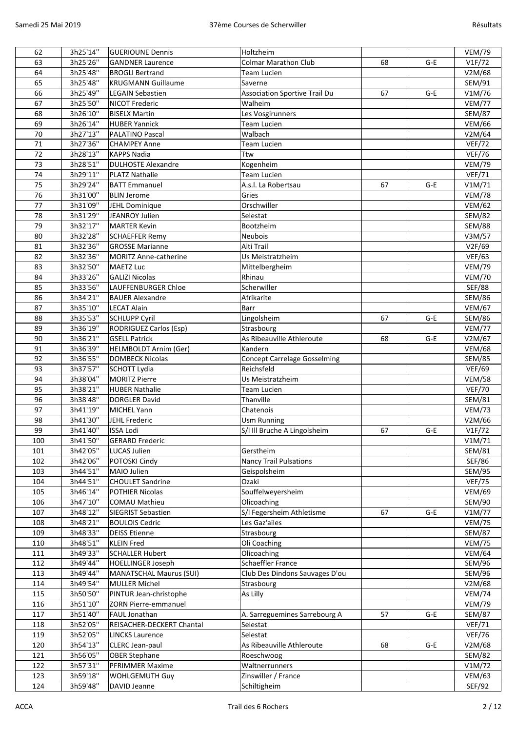| 62       | 3h25'14"             | <b>GUERIOUNE Dennis</b>        | <b>Holtzheim</b>                     |    |       | <b>VEM/79</b> |
|----------|----------------------|--------------------------------|--------------------------------------|----|-------|---------------|
| 63       | 3h25'26"             | <b>GANDNER Laurence</b>        | <b>Colmar Marathon Club</b>          | 68 | $G-E$ | VIF/72        |
| 64       | 3h25'48"             | <b>BROGLI Bertrand</b>         | Team Lucien                          |    |       | V2M/68        |
| 65       | 3h25'48"             | <b>KRUGMANN Guillaume</b>      | Saverne                              |    |       | SEM/91        |
| 66       | 3h25'49"             | <b>LEGAIN Sebastien</b>        | <b>Association Sportive Trail Du</b> | 67 | $G-E$ | V1M/76        |
| 67       | 3h25'50"             | <b>NICOT Frederic</b>          | Walheim                              |    |       | <b>VEM/77</b> |
| 68       | 3h26'10"             | <b>BISELX Martin</b>           | Les Vosgirunners                     |    |       | <b>SEM/87</b> |
| 69       | 3h26'14"             | <b>HUBER Yannick</b>           | <b>Team Lucien</b>                   |    |       | <b>VEM/66</b> |
| 70       | 3h27'13"             | <b>PALATINO Pascal</b>         | Walbach                              |    |       | V2M/64        |
| 71       | 3h27'36"             | <b>CHAMPEY Anne</b>            | <b>Team Lucien</b>                   |    |       | <b>VEF/72</b> |
| 72       | 3h28'13"             | <b>KAPPS Nadia</b>             | Ttw                                  |    |       | <b>VEF/76</b> |
| 73       | 3h28'51"             | <b>DULHOSTE Alexandre</b>      | Kogenheim                            |    |       | <b>VEM/79</b> |
| 74       | 3h29'11"             | <b>PLATZ Nathalie</b>          | <b>Team Lucien</b>                   |    |       | <b>VEF/71</b> |
| 75       | 3h29'24"             | <b>BATT Emmanuel</b>           | A.s.l. La Robertsau                  | 67 | $G-E$ | V1M/71        |
| 76       | 3h31'00"             | <b>BLIN Jerome</b>             | Gries                                |    |       | <b>VEM/78</b> |
| 77       | 3h31'09"             | JEHL Dominique                 | Orschwiller                          |    |       | <b>VEM/62</b> |
| 78       | 3h31'29"             | JEANROY Julien                 | Selestat                             |    |       | <b>SEM/82</b> |
| 79       | 3h32'17"             | <b>MARTER Kevin</b>            | Bootzheim                            |    |       | <b>SEM/88</b> |
| 80       | 3h32'28"             | <b>SCHAEFFER Remy</b>          | Neubois                              |    |       | V3M/57        |
| 81       | 3h32'36"             | <b>GROSSE Marianne</b>         | Alti Trail                           |    |       | V2F/69        |
| 82       | 3h32'36"             | <b>MORITZ Anne-catherine</b>   | Us Meistratzheim                     |    |       | <b>VEF/63</b> |
| 83       | 3h32'50"             | MAETZ Luc                      | Mittelbergheim                       |    |       | <b>VEM/79</b> |
| 84       | 3h33'26"             | <b>GALIZI Nicolas</b>          | Rhinau                               |    |       | <b>VEM/70</b> |
| 85       | 3h33'56"             | <b>LAUFFENBURGER Chloe</b>     | Scherwiller                          |    |       | <b>SEF/88</b> |
| 86       | 3h34'21"             | <b>BAUER Alexandre</b>         | Afrikarite                           |    |       | <b>SEM/86</b> |
| 87       | 3h35'10"             | <b>LECAT Alain</b>             | Barr                                 |    |       | <b>VEM/67</b> |
| 88       | 3h35'53"             | <b>SCHLUPP Cyril</b>           | Lingolsheim                          | 67 | $G-E$ | <b>SEM/86</b> |
| 89       | 3h36'19"             | <b>RODRIGUEZ Carlos (Esp)</b>  | Strasbourg                           |    |       | <b>VEM/77</b> |
| 90       | 3h36'21"             | <b>GSELL Patrick</b>           | As Ribeauville Athleroute            | 68 | $G-E$ | V2M/67        |
| 91       | 3h36'39"             | HELMBOLDT Arnim (Ger)          | Kandern                              |    |       | <b>VEM/68</b> |
| 92       | 3h36'55"             | <b>DOMBECK Nicolas</b>         | <b>Concept Carrelage Gosselming</b>  |    |       | <b>SEM/85</b> |
| 93       | 3h37'57"             | <b>SCHOTT Lydia</b>            | Reichsfeld                           |    |       | <b>VEF/69</b> |
| 94       | 3h38'04"             | <b>MORITZ Pierre</b>           | Us Meistratzheim                     |    |       | <b>VEM/58</b> |
| 95       | 3h38'21"             | <b>HUBER Nathalie</b>          |                                      |    |       | <b>VEF/70</b> |
|          |                      |                                | <b>Team Lucien</b>                   |    |       |               |
| 96       | 3h38'48"             | <b>DORGLER David</b>           | Thanville<br>Chatenois               |    |       | SEM/81        |
| 97<br>98 | 3h41'19"             | <b>MICHEL Yann</b>             |                                      |    |       | <b>VEM/73</b> |
|          | 3h41'30"<br>3h41'40" | JEHL Frederic                  | <b>Usm Running</b>                   |    |       | V2M/66        |
| 99       |                      | <b>ISSA Lodi</b>               | S/I III Bruche A Lingolsheim         | 67 | $G-E$ | VIF/72        |
| 100      | 3h41'50"             | <b>GERARD Frederic</b>         |                                      |    |       | V1M/71        |
| 101      | 3h42'05"             | <b>LUCAS Julien</b>            | Gerstheim                            |    |       | <b>SEM/81</b> |
| 102      | 3h42'06"             | POTOSKI Cindy                  | <b>Nancy Trail Pulsations</b>        |    |       | SEF/86        |
| 103      | 3h44'51"             | MAIO Julien                    | Geispolsheim                         |    |       | <b>SEM/95</b> |
| 104      | 3h44'51"             | <b>CHOULET Sandrine</b>        | Ozaki                                |    |       | <b>VEF/75</b> |
| 105      | 3h46'14"             | POTHIER Nicolas                | Souffelweyersheim                    |    |       | <b>VEM/69</b> |
| 106      | 3h47'10"             | <b>COMAU Mathieu</b>           | Olicoaching                          |    |       | SEM/90        |
| 107      | 3h48'12"             | SIEGRIST Sebastien             | S/I Fegersheim Athletisme            | 67 | $G-E$ | V1M/77        |
| 108      | 3h48'21"             | <b>BOULOIS Cedric</b>          | Les Gaz'ailes                        |    |       | <b>VEM/75</b> |
| 109      | 3h48'33"             | <b>DEISS Etienne</b>           | Strasbourg                           |    |       | <b>SEM/87</b> |
| 110      | 3h48'51"             | <b>KLEIN Fred</b>              | Oli Coaching                         |    |       | <b>VEM/75</b> |
| 111      | 3h49'33"             | <b>SCHALLER Hubert</b>         | Olicoaching                          |    |       | <b>VEM/64</b> |
| 112      | 3h49'44"             | <b>HOELLINGER Joseph</b>       | Schaeffler France                    |    |       | SEM/96        |
| 113      | 3h49'44"             | <b>MANATSCHAL Maurus (SUI)</b> | Club Des Dindons Sauvages D'ou       |    |       | SEM/96        |
| 114      | 3h49'54"             | <b>MULLER Michel</b>           | Strasbourg                           |    |       | V2M/68        |
| 115      | 3h50'50"             | PINTUR Jean-christophe         | As Lilly                             |    |       | <b>VEM/74</b> |
| 116      | 3h51'10"             | <b>ZORN Pierre-emmanuel</b>    |                                      |    |       | <b>VEM/79</b> |
| 117      | 3h51'40"             | FAUL Jonathan                  | A. Sarreguemines Sarrebourg A        | 57 | $G-E$ | <b>SEM/87</b> |
| 118      | 3h52'05"             | REISACHER-DECKERT Chantal      | Selestat                             |    |       | <b>VEF/71</b> |
| 119      | 3h52'05"             | <b>LINCKS Laurence</b>         | Selestat                             |    |       | <b>VEF/76</b> |
| 120      | 3h54'13"             | CLERC Jean-paul                | As Ribeauville Athleroute            | 68 | $G-E$ | V2M/68        |
| 121      | 3h56'05"             | <b>OBER Stephane</b>           | Roeschwoog                           |    |       | <b>SEM/82</b> |
| 122      | 3h57'31"             | PFRIMMER Maxime                | Waltnerrunners                       |    |       | V1M/72        |
| 123      | 3h59'18"             | WOHLGEMUTH Guy                 | Zinswiller / France                  |    |       | <b>VEM/63</b> |
| 124      | 3h59'48"             | DAVID Jeanne                   | Schiltigheim                         |    |       | SEF/92        |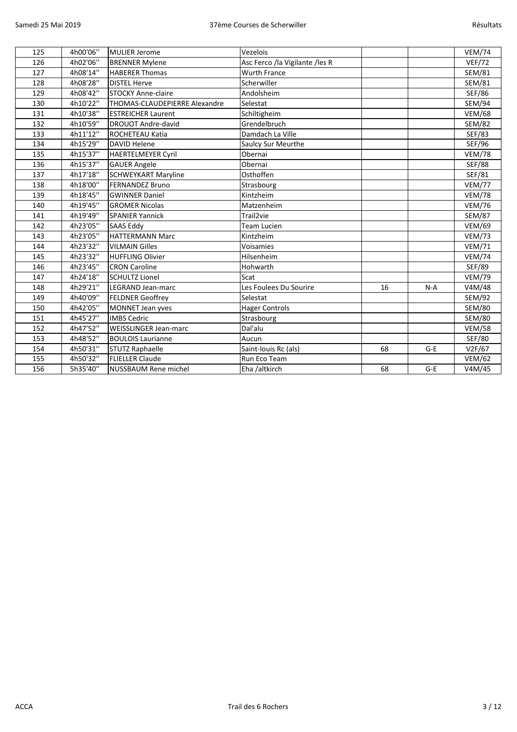| 125 | 4h00'06" | MULIER Jerome                        | Vezelois                       |    |       | <b>VEM/74</b> |
|-----|----------|--------------------------------------|--------------------------------|----|-------|---------------|
| 126 | 4h02'06" | <b>BRENNER Mylene</b>                | Asc Ferco /la Vigilante /les R |    |       | <b>VEF/72</b> |
| 127 | 4h08'14" | <b>HABERER Thomas</b>                | <b>Wurth France</b>            |    |       | SEM/81        |
| 128 | 4h08'28" | <b>DISTEL Herve</b>                  | Scherwiller                    |    |       | <b>SEM/81</b> |
| 129 | 4h08'42" | <b>STOCKY Anne-claire</b>            | Andolsheim                     |    |       | <b>SEF/86</b> |
| 130 | 4h10'22" | <b>THOMAS-CLAUDEPIERRE Alexandre</b> | Selestat                       |    |       | <b>SEM/94</b> |
| 131 | 4h10'38" | <b>ESTREICHER Laurent</b>            | Schiltigheim                   |    |       | <b>VEM/68</b> |
| 132 | 4h10'59" | <b>DROUOT Andre-david</b>            | Grendelbruch                   |    |       | <b>SEM/82</b> |
| 133 | 4h11'12" | <b>ROCHETEAU Katia</b>               | Damdach La Ville               |    |       | <b>SEF/83</b> |
| 134 | 4h15'29" | <b>DAVID Helene</b>                  | <b>Saulcy Sur Meurthe</b>      |    |       | <b>SEF/96</b> |
| 135 | 4h15'37" | <b>HAERTELMEYER Cyril</b>            | Obernai                        |    |       | <b>VEM/78</b> |
| 136 | 4h15'37" | <b>GAUER Angele</b>                  | Obernai                        |    |       | <b>SEF/88</b> |
| 137 | 4h17'18" | <b>SCHWEYKART Maryline</b>           | Osthoffen                      |    |       | SEF/81        |
| 138 | 4h18'00" | <b>FERNANDEZ Bruno</b>               | Strasbourg                     |    |       | <b>VEM/77</b> |
| 139 | 4h18'45" | <b>GWINNER Daniel</b>                | Kintzheim                      |    |       | <b>VEM/78</b> |
| 140 | 4h19'45" | <b>GROMER Nicolas</b>                | Matzenheim                     |    |       | <b>VEM/76</b> |
| 141 | 4h19'49" | <b>SPANIER Yannick</b>               | Trail <sub>2vie</sub>          |    |       | <b>SEM/87</b> |
| 142 | 4h23'05" | <b>SAAS Eddy</b>                     | Team Lucien                    |    |       | <b>VEM/69</b> |
| 143 | 4h23'05" | <b>HATTERMANN Marc</b>               | Kintzheim                      |    |       | <b>VEM/73</b> |
| 144 | 4h23'32" | <b>VILMAIN Gilles</b>                | Voisamies                      |    |       | <b>VEM/71</b> |
| 145 | 4h23'32" | <b>HUFFLING Olivier</b>              | Hilsenheim                     |    |       | <b>VEM/74</b> |
| 146 | 4h23'45" | <b>CRON Caroline</b>                 | Hohwarth                       |    |       | <b>SEF/89</b> |
| 147 | 4h24'18" | <b>SCHULTZ Lionel</b>                | Scat                           |    |       | <b>VEM/79</b> |
| 148 | 4h29'21" | LEGRAND Jean-marc                    | Les Foulees Du Sourire         | 16 | $N-A$ | V4M/48        |
| 149 | 4h40'09" | <b>FELDNER Geoffrey</b>              | Selestat                       |    |       | <b>SEM/92</b> |
| 150 | 4h42'05" | <b>MONNET Jean yves</b>              | <b>Hager Controls</b>          |    |       | <b>SEM/80</b> |
| 151 | 4h45'27" | <b>IMBS Cedric</b>                   | Strasbourg                     |    |       | <b>SEM/80</b> |
| 152 | 4h47'52" | <b>WEISSLINGER Jean-marc</b>         | Dal'alu                        |    |       | <b>VEM/58</b> |
| 153 | 4h48'52" | <b>BOULOIS Laurianne</b>             | Aucun                          |    |       | <b>SEF/80</b> |
| 154 | 4h50'31" | <b>STUTZ Raphaelle</b>               | Saint-louis Rc (als)           | 68 | $G-E$ | V2F/67        |
| 155 | 4h50'32" | <b>FLIELLER Claude</b>               | Run Eco Team                   |    |       | <b>VEM/62</b> |
| 156 | 5h35'40" | <b>NUSSBAUM Rene michel</b>          | Eha /altkirch                  | 68 | $G-E$ | V4M/45        |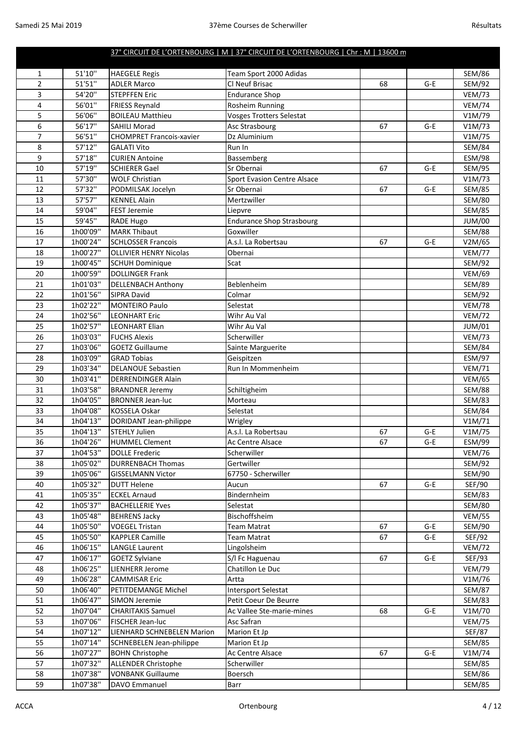|                |                      |                                                | 37° CIRCUIT DE L'ORTENBOURG   M   37° CIRCUIT DE L'ORTENBOURG   Chr : M   13600 m |    |       |                                |
|----------------|----------------------|------------------------------------------------|-----------------------------------------------------------------------------------|----|-------|--------------------------------|
| 1              | 51'10"               | <b>HAEGELE Regis</b>                           | Team Sport 2000 Adidas                                                            |    |       | <b>SEM/86</b>                  |
| $\overline{2}$ | 51'51"               | <b>ADLER Marco</b>                             | Cl Neuf Brisac                                                                    | 68 | $G-E$ | SEM/92                         |
| 3              | 54'20"               | <b>STEPFFEN Eric</b>                           | <b>Endurance Shop</b>                                                             |    |       | <b>VEM/73</b>                  |
| 4              | 56'01"               | <b>FRIESS Reynald</b>                          | Rosheim Running                                                                   |    |       | <b>VEM/74</b>                  |
| 5              | 56'06"               | <b>BOILEAU Matthieu</b>                        | <b>Vosges Trotters Selestat</b>                                                   |    |       | V1M/79                         |
| 6              | 56'17"               | <b>SAHILI Morad</b>                            | Asc Strasbourg                                                                    | 67 | $G-E$ | V1M/73                         |
| $\overline{7}$ | 56'51"               | <b>CHOMPRET Francois-xavier</b>                | Dz Aluminium                                                                      |    |       | V1M/75                         |
| 8              | 57'12"               | <b>GALATI Vito</b>                             | Run In                                                                            |    |       | <b>SEM/84</b>                  |
| 9              | 57'18"               | <b>CURIEN Antoine</b>                          | Bassemberg                                                                        |    |       | <b>ESM/98</b>                  |
| 10             | 57'19"               | <b>SCHIERER Gael</b>                           | Sr Obernai                                                                        | 67 | $G-E$ | SEM/95                         |
| 11             | 57'30"               | <b>WOLF Christian</b>                          | <b>Sport Evasion Centre Alsace</b>                                                |    |       | V1M/73                         |
| 12             | 57'32"               | PODMILSAK Jocelyn                              | Sr Obernai                                                                        | 67 | $G-E$ | <b>SEM/85</b>                  |
| 13             | 57'57"               | <b>KENNEL Alain</b>                            | Mertzwiller                                                                       |    |       | <b>SEM/80</b>                  |
| 14             | 59'04"               | <b>FEST Jeremie</b>                            | Liepvre                                                                           |    |       | <b>SEM/85</b>                  |
| 15             | 59'45"               | <b>RADE Hugo</b>                               | <b>Endurance Shop Strasbourg</b>                                                  |    |       | <b>JUM/00</b>                  |
| 16             | 1h00'09"             | <b>MARK Thibaut</b>                            | Goxwiller                                                                         |    |       | <b>SEM/88</b>                  |
| 17             | 1h00'24"             | <b>SCHLOSSER Francois</b>                      | A.s.l. La Robertsau                                                               | 67 | $G-E$ | V2M/65                         |
| 18             | 1h00'27"             | <b>OLLIVIER HENRY Nicolas</b>                  | Obernai                                                                           |    |       | <b>VEM/77</b>                  |
| 19             | 1h00'45"             | <b>SCHUH Dominique</b>                         | Scat                                                                              |    |       | SEM/92                         |
| 20             | 1h00'59"             | <b>DOLLINGER Frank</b>                         |                                                                                   |    |       | <b>VEM/69</b>                  |
| 21             | 1h01'03"             | <b>DELLENBACH Anthony</b>                      | Beblenheim                                                                        |    |       | <b>SEM/89</b>                  |
| 22             | 1h01'56"             | <b>SIPRA David</b>                             | Colmar                                                                            |    |       | SEM/92                         |
| 23             | 1h02'22"             | <b>MONTEIRO Paulo</b>                          | Selestat                                                                          |    |       | <b>VEM/78</b>                  |
| 24             | 1h02'56"             | <b>LEONHART Eric</b>                           | Wihr Au Val                                                                       |    |       | <b>VEM/72</b>                  |
| 25             | 1h02'57"             | <b>LEONHART Elian</b>                          | Wihr Au Val                                                                       |    |       | JUM/01                         |
| 26             | 1h03'03"             | <b>FUCHS Alexis</b>                            | Scherwiller                                                                       |    |       | <b>VEM/73</b>                  |
| 27             | 1h03'06"             | <b>GOETZ Guillaume</b>                         | Sainte Marguerite                                                                 |    |       | <b>SEM/84</b>                  |
| 28             | 1h03'09"             | <b>GRAD Tobias</b>                             | Geispitzen                                                                        |    |       | ESM/97                         |
| 29             | 1h03'34"             | <b>DELANOUE Sebastien</b>                      | Run In Mommenheim                                                                 |    |       | <b>VEM/71</b>                  |
| 30             | 1h03'41"             | <b>DERRENDINGER Alain</b>                      |                                                                                   |    |       | <b>VEM/65</b>                  |
| 31             | 1h03'58"             | <b>BRANDNER Jeremy</b>                         | Schiltigheim                                                                      |    |       | <b>SEM/88</b>                  |
| 32             | 1h04'05"             | <b>BRONNER Jean-luc</b>                        | Morteau                                                                           |    |       | <b>SEM/83</b>                  |
| 33             | 1h04'08"             | <b>KOSSELA Oskar</b>                           | Selestat                                                                          |    |       | <b>SEM/84</b>                  |
| 34             | 1h04'13"             | DORIDANT Jean-philippe                         | Wrigley                                                                           |    |       | V1M/71                         |
| 35             | 1h04'13"             | <b>STEHLY Julien</b>                           | A.s.l. La Robertsau                                                               | 67 | $G-E$ | V1M/75                         |
| 36             | 1h04'26"             | <b>HUMMEL Clement</b>                          | Ac Centre Alsace                                                                  | 67 | G-E   | <b>ESM/99</b>                  |
| 37             | 1h04'53"             | <b>DOLLE Frederic</b>                          | Scherwiller                                                                       |    |       | <b>VEM/76</b>                  |
| 38             | 1h05'02"             | <b>DURRENBACH Thomas</b>                       | Gertwiller                                                                        |    |       | SEM/92                         |
| 39             | 1h05'06"             | <b>GISSELMANN Victor</b>                       | 67750 - Scherwiller                                                               |    |       | SEM/90                         |
| 40             | 1h05'32"             | <b>DUTT Helene</b>                             | Aucun                                                                             | 67 | G-E   | SEF/90                         |
| 41<br>42       | 1h05'35"<br>1h05'37" | <b>ECKEL Arnaud</b><br><b>BACHELLERIE Yves</b> | Bindernheim<br>Selestat                                                           |    |       | <b>SEM/83</b><br><b>SEM/80</b> |
|                | 1h05'48"             |                                                |                                                                                   |    |       |                                |
| 43<br>44       | 1h05'50"             | <b>BEHRENS Jacky</b><br><b>VOEGEL Tristan</b>  | Bischoffsheim<br><b>Team Matrat</b>                                               | 67 | $G-E$ | <b>VEM/55</b><br>SEM/90        |
| 45             | 1h05'50"             | <b>KAPPLER Camille</b>                         | <b>Team Matrat</b>                                                                | 67 | $G-E$ | SEF/92                         |
| 46             | 1h06'15"             | <b>LANGLE Laurent</b>                          | Lingolsheim                                                                       |    |       | <b>VEM/72</b>                  |
| 47             | 1h06'17"             | <b>GOETZ Sylviane</b>                          | S/I Fc Haguenau                                                                   | 67 | $G-E$ | SEF/93                         |
| 48             | 1h06'25"             | <b>LIENHERR Jerome</b>                         | Chatillon Le Duc                                                                  |    |       | <b>VEM/79</b>                  |
| 49             | 1h06'28"             | <b>CAMMISAR Eric</b>                           | Artta                                                                             |    |       | V1M/76                         |
| 50             | 1h06'40"             | PETITDEMANGE Michel                            | Intersport Selestat                                                               |    |       | <b>SEM/87</b>                  |
| 51             | 1h06'47"             | <b>SIMON Jeremie</b>                           | Petit Coeur De Beurre                                                             |    |       | <b>SEM/83</b>                  |
| 52             | 1h07'04"             | <b>CHARITAKIS Samuel</b>                       | Ac Vallee Ste-marie-mines                                                         | 68 | $G-E$ | V1M/70                         |
| 53             | 1h07'06"             | <b>FISCHER Jean-luc</b>                        | Asc Safran                                                                        |    |       | <b>VEM/75</b>                  |
| 54             | 1h07'12"             | LIENHARD SCHNEBELEN Marion                     | Marion Et Jp                                                                      |    |       | <b>SEF/87</b>                  |
| 55             | 1h07'14"             | SCHNEBELEN Jean-philippe                       | Marion Et Jp                                                                      |    |       | <b>SEM/85</b>                  |
| 56             | 1h07'27"             | <b>BOHN Christophe</b>                         | Ac Centre Alsace                                                                  | 67 | $G-E$ | V1M/74                         |
| 57             | 1h07'32"             | <b>ALLENDER Christophe</b>                     | Scherwiller                                                                       |    |       | <b>SEM/85</b>                  |
| 58             | 1h07'38"             | <b>VONBANK Guillaume</b>                       | Boersch                                                                           |    |       | <b>SEM/86</b>                  |
| 59             | 1h07'38"             | DAVO Emmanuel                                  | Barr                                                                              |    |       | <b>SEM/85</b>                  |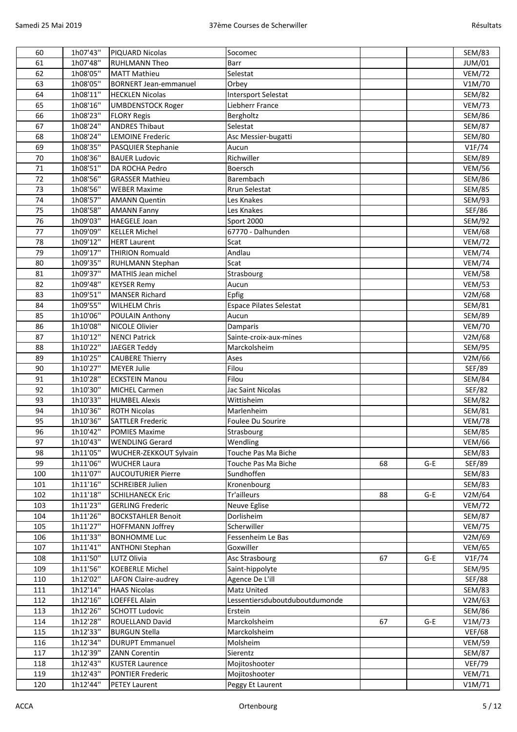| 60  | 1h07'43"             | PIQUARD Nicolas              | Socomec                        |    |       | <b>SEM/83</b> |
|-----|----------------------|------------------------------|--------------------------------|----|-------|---------------|
| 61  | 1h07'48"             | <b>RUHLMANN Theo</b>         | Barr                           |    |       | JUM/01        |
| 62  | 1h08'05"             | <b>MATT Mathieu</b>          | Selestat                       |    |       | <b>VEM/72</b> |
| 63  | 1h08'05"             | <b>BORNERT Jean-emmanuel</b> | Orbey                          |    |       | V1M/70        |
| 64  | 1h08'11"             | <b>HECKLEN Nicolas</b>       | <b>Intersport Selestat</b>     |    |       | <b>SEM/82</b> |
| 65  | 1h08'16"             | <b>UMBDENSTOCK Roger</b>     | Liebherr France                |    |       | <b>VEM/73</b> |
| 66  | 1h08'23"             | <b>FLORY Regis</b>           | Bergholtz                      |    |       | <b>SEM/86</b> |
| 67  | 1h08'24"             | <b>ANDRES Thibaut</b>        | Selestat                       |    |       | <b>SEM/87</b> |
| 68  | 1h08'24"             | <b>LEMOINE Frederic</b>      | Asc Messier-bugatti            |    |       | <b>SEM/80</b> |
| 69  | 1h08'35"             | PASQUIER Stephanie           | Aucun                          |    |       | VIF/74        |
| 70  | 1h08'36"             | <b>BAUER Ludovic</b>         | Richwiller                     |    |       | <b>SEM/89</b> |
| 71  | 1h08'51"             | DA ROCHA Pedro               | Boersch                        |    |       | <b>VEM/56</b> |
| 72  | 1h08'56"             | <b>GRASSER Mathieu</b>       | Barembach                      |    |       | <b>SEM/86</b> |
| 73  | 1h08'56"             | <b>WEBER Maxime</b>          | Rrun Selestat                  |    |       | <b>SEM/85</b> |
| 74  | 1h08'57"             | <b>AMANN Quentin</b>         | Les Knakes                     |    |       | SEM/93        |
| 75  | 1h08'58"             | <b>AMANN Fanny</b>           | Les Knakes                     |    |       | SEF/86        |
| 76  | 1h09'03"             | <b>HAEGELE Joan</b>          | Sport 2000                     |    |       | SEM/92        |
| 77  | 1h09'09"             | <b>KELLER Michel</b>         | 67770 - Dalhunden              |    |       |               |
| 78  | 1h09'12"             | <b>HERT Laurent</b>          | Scat                           |    |       | <b>VEM/68</b> |
|     |                      | <b>THIRION Romuald</b>       |                                |    |       | <b>VEM/72</b> |
| 79  | 1h09'17"<br>1h09'35" |                              | Andlau                         |    |       | <b>VEM/74</b> |
| 80  | 1h09'37"             | RUHLMANN Stephan             | Scat                           |    |       | <b>VEM/74</b> |
| 81  |                      | <b>MATHIS Jean michel</b>    | Strasbourg                     |    |       | <b>VEM/58</b> |
| 82  | 1h09'48"             | <b>KEYSER Remy</b>           | Aucun                          |    |       | <b>VEM/53</b> |
| 83  | 1h09'51"             | <b>MANSER Richard</b>        | Epfig                          |    |       | V2M/68        |
| 84  | 1h09'55"             | <b>WILHELM Chris</b>         | <b>Espace Pilates Selestat</b> |    |       | <b>SEM/81</b> |
| 85  | 1h10'06"             | POULAIN Anthony              | Aucun                          |    |       | <b>SEM/89</b> |
| 86  | 1h10'08"             | NICOLE Olivier               | Damparis                       |    |       | <b>VEM/70</b> |
| 87  | 1h10'12"             | <b>NENCI Patrick</b>         | Sainte-croix-aux-mines         |    |       | V2M/68        |
| 88  | 1h10'22"             | JAEGER Teddy                 | Marckolsheim                   |    |       | <b>SEM/95</b> |
| 89  | 1h10'25"             | <b>CAUBERE Thierry</b>       | Ases                           |    |       | V2M/66        |
| 90  | 1h10'27"             | <b>MEYER Julie</b>           | Filou                          |    |       | SEF/89        |
| 91  | 1h10'28"             | <b>ECKSTEIN Manou</b>        | Filou                          |    |       | <b>SEM/84</b> |
| 92  | 1h10'30"             | <b>MICHEL Carmen</b>         | Jac Saint Nicolas              |    |       | <b>SEF/82</b> |
| 93  | 1h10'33"             | <b>HUMBEL Alexis</b>         | Wittisheim                     |    |       | <b>SEM/82</b> |
| 94  | 1h10'36"             | <b>ROTH Nicolas</b>          | Marlenheim                     |    |       | <b>SEM/81</b> |
| 95  | 1h10'36"             | <b>SATTLER Frederic</b>      | Foulee Du Sourire              |    |       | <b>VEM/78</b> |
| 96  | 1h10'42"             | <b>POMIES Maxime</b>         | Strasbourg                     |    |       | <b>SEM/85</b> |
| 97  | 1h10'43"             | <b>WENDLING Gerard</b>       | Wendling                       |    |       | <b>VEM/66</b> |
| 98  | 1h11'05"             | WUCHER-ZEKKOUT Sylvain       | Touche Pas Ma Biche            |    |       | <b>SEM/83</b> |
| 99  | 1h11'06"             | <b>WUCHER Laura</b>          | Touche Pas Ma Biche            | 68 | $G-E$ | SEF/89        |
| 100 | 1h11'07"             | <b>AUCOUTURIER Pierre</b>    | Sundhoffen                     |    |       | <b>SEM/83</b> |
| 101 | 1h11'16"             | <b>SCHREIBER Julien</b>      | Kronenbourg                    |    |       | SEM/83        |
| 102 | 1h11'18"             | <b>SCHILHANECK Eric</b>      | Tr'ailleurs                    | 88 | $G-E$ | V2M/64        |
| 103 | 1h11'23"             | <b>GERLING Frederic</b>      | Neuve Eglise                   |    |       | <b>VEM/72</b> |
| 104 | 1h11'26"             | <b>BOCKSTAHLER Benoit</b>    | Dorlisheim                     |    |       | <b>SEM/87</b> |
| 105 | 1h11'27"             | <b>HOFFMANN Joffrey</b>      | Scherwiller                    |    |       | <b>VEM/75</b> |
| 106 | 1h11'33"             | <b>BONHOMME Luc</b>          | Fessenheim Le Bas              |    |       | V2M/69        |
| 107 | 1h11'41"             | <b>ANTHONI Stephan</b>       | Goxwiller                      |    |       | <b>VEM/65</b> |
| 108 | 1h11'50"             | LUTZ Olivia                  | Asc Strasbourg                 | 67 | $G-E$ | V1F/74        |
| 109 | 1h11'56"             | <b>KOEBERLE Michel</b>       | Saint-hippolyte                |    |       | SEM/95        |
| 110 | 1h12'02"             | LAFON Claire-audrey          | Agence De L'ill                |    |       | <b>SEF/88</b> |
| 111 | 1h12'14"             | <b>HAAS Nicolas</b>          | Matz United                    |    |       | <b>SEM/83</b> |
| 112 | 1h12'16"             | LOEFFEL Alain                | Lessentiersduboutduboutdumonde |    |       | V2M/63        |
| 113 | 1h12'26"             | <b>SCHOTT Ludovic</b>        | Erstein                        |    |       | <b>SEM/86</b> |
| 114 | 1h12'28"             | ROUELLAND David              | Marckolsheim                   | 67 | G-E   | V1M/73        |
| 115 | 1h12'33"             | <b>BURGUN Stella</b>         | Marckolsheim                   |    |       | <b>VEF/68</b> |
| 116 | 1h12'34"             | <b>DURUPT Emmanuel</b>       | Molsheim                       |    |       | <b>VEM/59</b> |
| 117 | 1h12'39"             | <b>ZANN Corentin</b>         | Sierentz                       |    |       | <b>SEM/87</b> |
| 118 | 1h12'43"             | <b>KUSTER Laurence</b>       | Mojitoshooter                  |    |       | <b>VEF/79</b> |
| 119 | 1h12'43"             | <b>PONTIER Frederic</b>      | Mojitoshooter                  |    |       | <b>VEM/71</b> |
| 120 | 1h12'44"             | <b>PETEY Laurent</b>         | Peggy Et Laurent               |    |       | V1M/71        |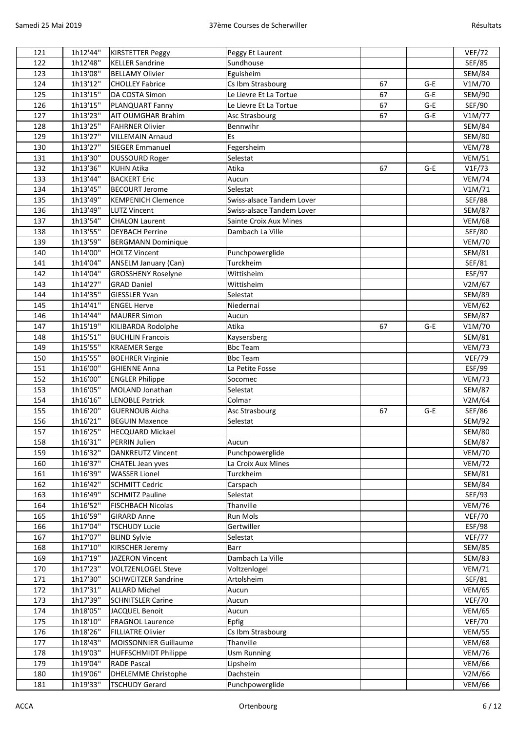| 121 | 1h12'44" | <b>KIRSTETTER Peggy</b>     | Peggy Et Laurent             |    |       | <b>VEF/72</b> |
|-----|----------|-----------------------------|------------------------------|----|-------|---------------|
| 122 | 1h12'48" | <b>KELLER Sandrine</b>      | Sundhouse                    |    |       | SEF/85        |
| 123 | 1h13'08" | <b>BELLAMY Olivier</b>      | Eguisheim                    |    |       | <b>SEM/84</b> |
| 124 | 1h13'12" | <b>CHOLLEY Fabrice</b>      | Cs Ibm Strasbourg            | 67 | $G-E$ | V1M/70        |
| 125 | 1h13'15" | DA COSTA Simon              | Le Lievre Et La Tortue       | 67 | $G-E$ | SEM/90        |
| 126 | 1h13'15" | PLANQUART Fanny             | Le Lievre Et La Tortue       | 67 | $G-E$ | SEF/90        |
| 127 | 1h13'23" | <b>AIT OUMGHAR Brahim</b>   | Asc Strasbourg               | 67 | $G-E$ | V1M/77        |
| 128 | 1h13'25" | <b>FAHRNER Olivier</b>      | Bennwihr                     |    |       | <b>SEM/84</b> |
| 129 | 1h13'27" | <b>VILLEMAIN Arnaud</b>     | Es                           |    |       | <b>SEM/80</b> |
| 130 | 1h13'27" | <b>SIEGER Emmanuel</b>      | Fegersheim                   |    |       | <b>VEM/78</b> |
| 131 | 1h13'30" | <b>DUSSOURD Roger</b>       | Selestat                     |    |       | <b>VEM/51</b> |
| 132 | 1h13'36" | <b>KUHN Atika</b>           | Atika                        | 67 | $G-E$ | VIF/73        |
| 133 | 1h13'44" | <b>BACKERT Eric</b>         | Aucun                        |    |       | <b>VEM/74</b> |
| 134 | 1h13'45" | <b>BECOURT Jerome</b>       | Selestat                     |    |       | V1M/71        |
| 135 | 1h13'49" | <b>KEMPENICH Clemence</b>   | Swiss-alsace Tandem Lover    |    |       | <b>SEF/88</b> |
| 136 | 1h13'49" | <b>LUTZ Vincent</b>         | Swiss-alsace Tandem Lover    |    |       | <b>SEM/87</b> |
| 137 | 1h13'54" | <b>CHALON Laurent</b>       | Sainte Croix Aux Mines       |    |       | <b>VEM/68</b> |
| 138 | 1h13'55" | <b>DEYBACH Perrine</b>      | Dambach La Ville             |    |       | <b>SEF/80</b> |
| 139 | 1h13'59" | <b>BERGMANN Dominique</b>   |                              |    |       | <b>VEM/70</b> |
|     | 1h14'00" | <b>HOLTZ Vincent</b>        |                              |    |       |               |
| 140 | 1h14'04" |                             | Punchpowerglide<br>Turckheim |    |       | <b>SEM/81</b> |
| 141 |          | <b>ANSELM January (Can)</b> | Wittisheim                   |    |       | SEF/81        |
| 142 | 1h14'04" | <b>GROSSHENY Roselyne</b>   |                              |    |       | ESF/97        |
| 143 | 1h14'27" | <b>GRAD Daniel</b>          | Wittisheim                   |    |       | V2M/67        |
| 144 | 1h14'35" | <b>GIESSLER Yvan</b>        | Selestat                     |    |       | <b>SEM/89</b> |
| 145 | 1h14'41" | <b>ENGEL Herve</b>          | Niedernai                    |    |       | <b>VEM/62</b> |
| 146 | 1h14'44" | <b>MAURER Simon</b>         | Aucun                        |    |       | <b>SEM/87</b> |
| 147 | 1h15'19" | KILIBARDA Rodolphe          | Atika                        | 67 | $G-E$ | V1M/70        |
| 148 | 1h15'51" | <b>BUCHLIN Francois</b>     | Kaysersberg                  |    |       | <b>SEM/81</b> |
| 149 | 1h15'55" | <b>KRAEMER Serge</b>        | <b>Bbc Team</b>              |    |       | <b>VEM/73</b> |
| 150 | 1h15'55" | <b>BOEHRER Virginie</b>     | <b>Bbc Team</b>              |    |       | <b>VEF/79</b> |
| 151 | 1h16'00" | <b>GHIENNE Anna</b>         | La Petite Fosse              |    |       | ESF/99        |
| 152 | 1h16'00" | <b>ENGLER Philippe</b>      | Socomec                      |    |       | <b>VEM/73</b> |
| 153 | 1h16'05" | MOLAND Jonathan             | Selestat                     |    |       | <b>SEM/87</b> |
| 154 | 1h16'16" | <b>LENOBLE Patrick</b>      | Colmar                       |    |       | V2M/64        |
| 155 | 1h16'20" | <b>GUERNOUB Aicha</b>       | Asc Strasbourg               | 67 | $G-E$ | SEF/86        |
| 156 | 1h16'21" | <b>BEGUIN Maxence</b>       | Selestat                     |    |       | SEM/92        |
| 157 | 1h16'25" | <b>HECQUARD Mickael</b>     |                              |    |       | <b>SEM/80</b> |
| 158 | 1h16'31" | <b>PERRIN Julien</b>        | Aucun                        |    |       | <b>SEM/87</b> |
| 159 | 1h16'32" | <b>DANKREUTZ Vincent</b>    | Punchpowerglide              |    |       | <b>VEM/70</b> |
| 160 | 1h16'37" | <b>CHATEL Jean yves</b>     | La Croix Aux Mines           |    |       | <b>VEM/72</b> |
| 161 | 1h16'39" | <b>WASSER Lionel</b>        | Turckheim                    |    |       | <b>SEM/81</b> |
| 162 | 1h16'42" | <b>SCHMITT Cedric</b>       | Carspach                     |    |       | <b>SEM/84</b> |
| 163 | 1h16'49" | <b>SCHMITZ Pauline</b>      | Selestat                     |    |       | SEF/93        |
| 164 | 1h16'52" | <b>FISCHBACH Nicolas</b>    | Thanville                    |    |       | <b>VEM/76</b> |
| 165 | 1h16'59" | <b>GIRARD Anne</b>          | <b>Run Mols</b>              |    |       | <b>VEF/70</b> |
| 166 | 1h17'04" | <b>TSCHUDY Lucie</b>        | Gertwiller                   |    |       | ESF/98        |
| 167 | 1h17'07" | <b>BLIND Sylvie</b>         | Selestat                     |    |       | <b>VEF/77</b> |
| 168 | 1h17'10" | <b>KIRSCHER Jeremy</b>      | Barr                         |    |       | SEM/85        |
| 169 | 1h17'19" | <b>JAZERON Vincent</b>      | Dambach La Ville             |    |       | SEM/83        |
| 170 | 1h17'23" | <b>VOLTZENLOGEL Steve</b>   | Voltzenlogel                 |    |       | <b>VEM/71</b> |
| 171 | 1h17'30" | <b>SCHWEITZER Sandrine</b>  | Artolsheim                   |    |       | SEF/81        |
| 172 | 1h17'31" | <b>ALLARD Michel</b>        | Aucun                        |    |       | <b>VEM/65</b> |
| 173 | 1h17'39" | <b>SCHNITSLER Carine</b>    | Aucun                        |    |       | <b>VEF/70</b> |
| 174 | 1h18'05" | JACQUEL Benoit              | Aucun                        |    |       | <b>VEM/65</b> |
| 175 | 1h18'10" | <b>FRAGNOL Laurence</b>     | Epfig                        |    |       | <b>VEF/70</b> |
| 176 | 1h18'26" | <b>FILLIATRE Olivier</b>    | Cs Ibm Strasbourg            |    |       | <b>VEM/55</b> |
| 177 | 1h18'43" | MOISSONNIER Guillaume       | Thanville                    |    |       | <b>VEM/68</b> |
| 178 | 1h19'03" | <b>HUFFSCHMIDT Philippe</b> | <b>Usm Running</b>           |    |       | <b>VEM/76</b> |
| 179 | 1h19'04" | <b>RADE Pascal</b>          | Lipsheim                     |    |       | <b>VEM/66</b> |
| 180 | 1h19'06" | DHELEMME Christophe         | Dachstein                    |    |       | V2M/66        |
| 181 | 1h19'33" | <b>TSCHUDY Gerard</b>       | Punchpowerglide              |    |       | <b>VEM/66</b> |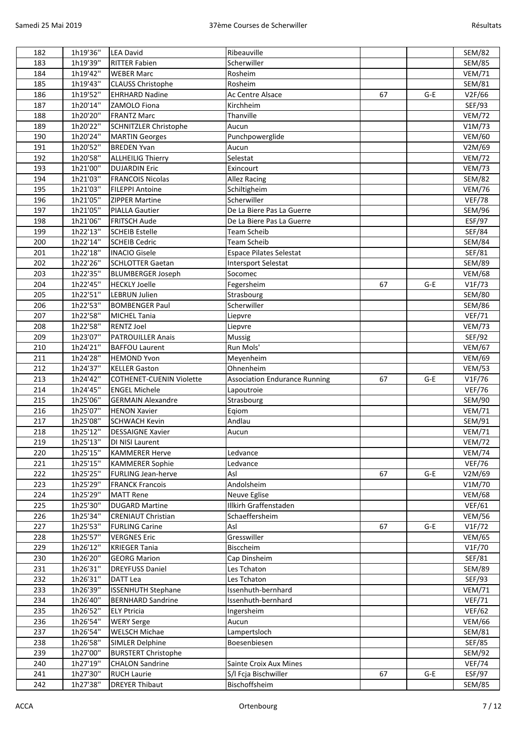| 182        | 1h19'36" | <b>LEA David</b>                                 | Ribeauville                          |    |       | <b>SEM/82</b>           |
|------------|----------|--------------------------------------------------|--------------------------------------|----|-------|-------------------------|
| 183        | 1h19'39" | <b>RITTER Fabien</b>                             | Scherwiller                          |    |       | <b>SEM/85</b>           |
| 184        | 1h19'42" | <b>WEBER Marc</b>                                | Rosheim                              |    |       | <b>VEM/71</b>           |
| 185        | 1h19'43" | <b>CLAUSS Christophe</b>                         | Rosheim                              |    |       | <b>SEM/81</b>           |
| 186        | 1h19'52" | <b>EHRHARD Nadine</b>                            | Ac Centre Alsace                     | 67 | $G-E$ | V2F/66                  |
| 187        | 1h20'14" | ZAMOLO Fiona                                     | Kirchheim                            |    |       | SEF/93                  |
| 188        | 1h20'20" | <b>FRANTZ Marc</b>                               | Thanville                            |    |       | <b>VEM/72</b>           |
| 189        | 1h20'22" | <b>SCHNITZLER Christophe</b>                     | Aucun                                |    |       | V1M/73                  |
| 190        | 1h20'24" | <b>MARTIN Georges</b>                            | Punchpowerglide                      |    |       | <b>VEM/60</b>           |
| 191        | 1h20'52" | <b>BREDEN Yvan</b>                               | Aucun                                |    |       | V2M/69                  |
| 192        | 1h20'58" | <b>ALLHEILIG Thierry</b>                         | Selestat                             |    |       | <b>VEM/72</b>           |
| 193        | 1h21'00" | <b>DUJARDIN Eric</b>                             | Exincourt                            |    |       | <b>VEM/73</b>           |
| 194        | 1h21'03" | <b>FRANCOIS Nicolas</b>                          | Allez Racing                         |    |       | <b>SEM/82</b>           |
| 195        | 1h21'03" | <b>FILEPPI Antoine</b>                           | Schiltigheim                         |    |       | <b>VEM/76</b>           |
| 196        | 1h21'05" | <b>ZIPPER Martine</b>                            | Scherwiller                          |    |       | <b>VEF/78</b>           |
| 197        | 1h21'05" | <b>PIALLA Gautier</b>                            | De La Biere Pas La Guerre            |    |       | SEM/96                  |
| 198        | 1h21'06" | <b>FRITSCH Aude</b>                              | De La Biere Pas La Guerre            |    |       | ESF/97                  |
| 199        | 1h22'13" | <b>SCHEIB Estelle</b>                            | <b>Team Scheib</b>                   |    |       | SEF/84                  |
| 200        | 1h22'14" | <b>SCHEIB Cedric</b>                             | <b>Team Scheib</b>                   |    |       | <b>SEM/84</b>           |
| 201        | 1h22'18" | <b>INACIO Gisele</b>                             | <b>Espace Pilates Selestat</b>       |    |       | SEF/81                  |
|            | 1h22'26" | <b>SCHLOTTER Gaetan</b>                          |                                      |    |       |                         |
| 202<br>203 | 1h22'35" |                                                  | Intersport Selestat                  |    |       | <b>SEM/89</b>           |
| 204        | 1h22'45" | <b>BLUMBERGER Joseph</b><br><b>HECKLY Joelle</b> | Socomec                              | 67 |       | <b>VEM/68</b><br>V1F/73 |
|            |          |                                                  | Fegersheim                           |    | $G-E$ |                         |
| 205        | 1h22'51" | <b>LEBRUN Julien</b>                             | Strasbourg<br>Scherwiller            |    |       | <b>SEM/80</b>           |
| 206        | 1h22'53" | <b>BOMBENGER Paul</b>                            |                                      |    |       | <b>SEM/86</b>           |
| 207        | 1h22'58" | <b>MICHEL Tania</b>                              | Liepvre                              |    |       | <b>VEF/71</b>           |
| 208        | 1h22'58" | <b>RENTZ Joel</b>                                | Liepvre                              |    |       | <b>VEM/73</b>           |
| 209        | 1h23'07" | <b>PATROUILLER Anais</b>                         | Mussig                               |    |       | SEF/92                  |
| 210        | 1h24'21" | <b>BAFFOU Laurent</b>                            | Run Mols'                            |    |       | <b>VEM/67</b>           |
| 211        | 1h24'28" | <b>HEMOND Yvon</b>                               | Meyenheim                            |    |       | <b>VEM/69</b>           |
| 212        | 1h24'37" | <b>KELLER Gaston</b>                             | Ohnenheim                            |    |       | <b>VEM/53</b>           |
| 213        | 1h24'42" | <b>COTHENET-CUENIN Violette</b>                  | <b>Association Endurance Running</b> | 67 | $G-E$ | V1F/76                  |
| 214        | 1h24'45" | <b>ENGEL Michele</b>                             | Lapoutroie                           |    |       | <b>VEF/76</b>           |
| 215        | 1h25'06" | <b>GERMAIN Alexandre</b>                         | Strasbourg                           |    |       | SEM/90                  |
| 216        | 1h25'07" | <b>HENON Xavier</b>                              | Eqiom                                |    |       | <b>VEM/71</b>           |
| 217        | 1h25'08" | <b>SCHWACH Kevin</b>                             | Andlau                               |    |       | SEM/91                  |
| 218        | 1h25'12" | <b>DESSAIGNE Xavier</b>                          | Aucun                                |    |       | <b>VEM/71</b>           |
| 219        | 1h25'13" | DI NISI Laurent                                  |                                      |    |       | <b>VEM/72</b>           |
| 220        | 1h25'15" | <b>KAMMERER Herve</b>                            | Ledvance                             |    |       | <b>VEM/74</b>           |
| 221        | 1h25'15" | <b>KAMMERER Sophie</b>                           | Ledvance                             |    |       | <b>VEF/76</b>           |
| 222        | 1h25'25" | <b>FURLING Jean-herve</b>                        | Asl                                  | 67 | $G-E$ | V2M/69                  |
| 223        | 1h25'29" | <b>FRANCK Francois</b>                           | Andolsheim                           |    |       | V1M/70                  |
| 224        | 1h25'29" | <b>MATT Rene</b>                                 | Neuve Eglise                         |    |       | <b>VEM/68</b>           |
| 225        | 1h25'30" | <b>DUGARD Martine</b>                            | Illkirh Graffenstaden                |    |       | <b>VEF/61</b>           |
| 226        | 1h25'34" | <b>CRENIAUT Christian</b>                        | Schaeffersheim                       |    |       | <b>VEM/56</b>           |
| 227        | 1h25'53" | <b>FURLING Carine</b>                            | Asl                                  | 67 | $G-E$ | VIF/72                  |
| 228        | 1h25'57" | <b>VERGNES Eric</b>                              | Gresswiller                          |    |       | <b>VEM/65</b>           |
| 229        | 1h26'12" | <b>KRIEGER Tania</b>                             | Bisccheim                            |    |       | V1F/70                  |
| 230        | 1h26'20" | <b>GEORG Marion</b>                              | Cap Dinsheim                         |    |       | SEF/81                  |
| 231        | 1h26'31" | <b>DREYFUSS Daniel</b>                           | Les Tchaton                          |    |       | <b>SEM/89</b>           |
| 232        | 1h26'31" | <b>DATT Lea</b>                                  | Les Tchaton                          |    |       | SEF/93                  |
| 233        | 1h26'39" | <b>ISSENHUTH Stephane</b>                        | Issenhuth-bernhard                   |    |       | <b>VEM/71</b>           |
| 234        | 1h26'40" | <b>BERNHARD Sandrine</b>                         | Issenhuth-bernhard                   |    |       | <b>VEF/71</b>           |
| 235        | 1h26'52" | <b>ELY Ptricia</b>                               | Ingersheim                           |    |       | <b>VEF/62</b>           |
| 236        | 1h26'54" | <b>WERY Serge</b>                                | Aucun                                |    |       | <b>VEM/66</b>           |
| 237        | 1h26'54" | <b>WELSCH Michae</b>                             | Lampertsloch                         |    |       | <b>SEM/81</b>           |
| 238        | 1h26'58" | <b>SIMLER Delphine</b>                           | Boesenbiesen                         |    |       | <b>SEF/85</b>           |
| 239        | 1h27'00" | <b>BURSTERT Christophe</b>                       |                                      |    |       | SEM/92                  |
| 240        | 1h27'19" | <b>CHALON Sandrine</b>                           | Sainte Croix Aux Mines               |    |       | <b>VEF/74</b>           |
| 241        | 1h27'30" | <b>RUCH Laurie</b>                               | S/I Fcja Bischwiller                 | 67 | $G-E$ | ESF/97                  |
| 242        | 1h27'38" | <b>DREYER Thibaut</b>                            | Bischoffsheim                        |    |       | <b>SEM/85</b>           |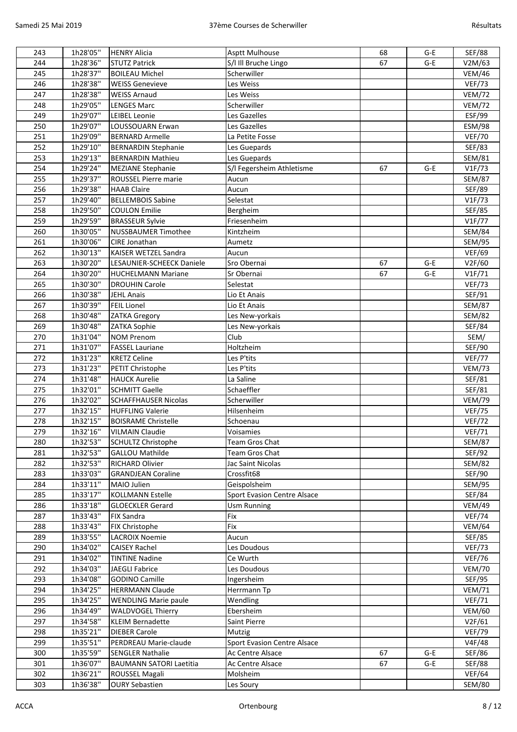| 243 | 1h28'05" | <b>HENRY Alicia</b>              | Asptt Mulhouse                     | 68 | $G-E$ | <b>SEF/88</b> |
|-----|----------|----------------------------------|------------------------------------|----|-------|---------------|
| 244 | 1h28'36" | <b>STUTZ Patrick</b>             | S/I Ill Bruche Lingo               | 67 | $G-E$ | V2M/63        |
| 245 | 1h28'37" | <b>BOILEAU Michel</b>            | Scherwiller                        |    |       | <b>VEM/46</b> |
| 246 | 1h28'38" | <b>WEISS Genevieve</b>           | Les Weiss                          |    |       | <b>VEF/73</b> |
| 247 | 1h28'38" | <b>WEISS Arnaud</b>              | Les Weiss                          |    |       | <b>VEM/72</b> |
| 248 | 1h29'05" | <b>LENGES Marc</b>               | Scherwiller                        |    |       | <b>VEM/72</b> |
| 249 | 1h29'07" | <b>LEIBEL Leonie</b>             | Les Gazelles                       |    |       | ESF/99        |
| 250 | 1h29'07" | LOUSSOUARN Erwan                 | Les Gazelles                       |    |       | ESM/98        |
| 251 | 1h29'09" | <b>BERNARD Armelle</b>           | La Petite Fosse                    |    |       | <b>VEF/70</b> |
| 252 | 1h29'10" | <b>BERNARDIN Stephanie</b>       | Les Guepards                       |    |       | <b>SEF/83</b> |
| 253 | 1h29'13" | <b>BERNARDIN Mathieu</b>         | Les Guepards                       |    |       | <b>SEM/81</b> |
| 254 | 1h29'24" | <b>MEZIANE Stephanie</b>         | S/I Fegersheim Athletisme          | 67 | $G-E$ | VIF/73        |
| 255 | 1h29'37" | ROUSSEL Pierre marie             | Aucun                              |    |       | <b>SEM/87</b> |
| 256 | 1h29'38" | <b>HAAB Claire</b>               | Aucun                              |    |       | SEF/89        |
| 257 | 1h29'40" | <b>BELLEMBOIS Sabine</b>         | Selestat                           |    |       | VIF/73        |
| 258 | 1h29'50" | <b>COULON Emilie</b>             | Bergheim                           |    |       | <b>SEF/85</b> |
| 259 | 1h29'59" | <b>BRASSEUR Sylvie</b>           | Friesenheim                        |    |       | VIF/77        |
| 260 | 1h30'05" | <b>NUSSBAUMER Timothee</b>       | Kintzheim                          |    |       | <b>SEM/84</b> |
| 261 | 1h30'06" | <b>CIRE Jonathan</b>             | Aumetz                             |    |       | SEM/95        |
| 262 | 1h30'13" | KAISER WETZEL Sandra             | Aucun                              |    |       | <b>VEF/69</b> |
| 263 | 1h30'20" | <b>LESAUNIER-SCHEECK Daniele</b> | Sro Obernai                        | 67 | $G-E$ | V2F/60        |
| 264 | 1h30'20" | <b>HUCHELMANN Mariane</b>        | Sr Obernai                         | 67 | $G-E$ | V1F/71        |
| 265 | 1h30'30" | <b>DROUHIN Carole</b>            | Selestat                           |    |       | <b>VEF/73</b> |
|     |          |                                  | Lio Et Anais                       |    |       |               |
| 266 | 1h30'38" | <b>JEHL Anais</b>                |                                    |    |       | SEF/91        |
| 267 | 1h30'39" | <b>FEIL Lionel</b>               | Lio Et Anais                       |    |       | <b>SEM/87</b> |
| 268 | 1h30'48" | <b>ZATKA Gregory</b>             | Les New-yorkais                    |    |       | <b>SEM/82</b> |
| 269 | 1h30'48" | ZATKA Sophie                     | Les New-yorkais                    |    |       | SEF/84        |
| 270 | 1h31'04" | <b>NOM Prenom</b>                | Club                               |    |       | SEM/          |
| 271 | 1h31'07" | <b>FASSEL Lauriane</b>           | Holtzheim                          |    |       | SEF/90        |
| 272 | 1h31'23" | <b>KRETZ Celine</b>              | Les P'tits                         |    |       | <b>VEF/77</b> |
| 273 | 1h31'23" | PETIT Christophe                 | Les P'tits                         |    |       | <b>VEM/73</b> |
| 274 | 1h31'48" | <b>HAUCK Aurelie</b>             | La Saline                          |    |       | SEF/81        |
| 275 | 1h32'01" | <b>SCHMITT Gaelle</b>            | Schaeffler                         |    |       | SEF/81        |
| 276 | 1h32'02" | <b>SCHAFFHAUSER Nicolas</b>      | Scherwiller                        |    |       | <b>VEM/79</b> |
| 277 | 1h32'15" | <b>HUFFLING Valerie</b>          | Hilsenheim                         |    |       | <b>VEF/75</b> |
| 278 | 1h32'15" | <b>BOISRAME Christelle</b>       | Schoenau                           |    |       | <b>VEF/72</b> |
| 279 | 1h32'16" | <b>VILMAIN Claudie</b>           | Voisamies                          |    |       | <b>VEF/71</b> |
| 280 | 1h32'53" | <b>SCHULTZ Christophe</b>        | Team Gros Chat                     |    |       | <b>SEM/87</b> |
| 281 | 1h32'53" | <b>GALLOU Mathilde</b>           | Team Gros Chat                     |    |       | SEF/92        |
| 282 | 1h32'53" | RICHARD Olivier                  | Jac Saint Nicolas                  |    |       | <b>SEM/82</b> |
| 283 | 1h33'03" | <b>GRANDJEAN Coraline</b>        | Crossfit68                         |    |       | SEF/90        |
| 284 | 1h33'11" | MAIO Julien                      | Geispolsheim                       |    |       | SEM/95        |
| 285 | 1h33'17" | <b>KOLLMANN Estelle</b>          | <b>Sport Evasion Centre Alsace</b> |    |       | SEF/84        |
| 286 | 1h33'18" | <b>GLOECKLER Gerard</b>          | <b>Usm Running</b>                 |    |       | <b>VEM/49</b> |
| 287 | 1h33'43" | <b>FIX Sandra</b>                | Fix                                |    |       | <b>VEF/74</b> |
| 288 | 1h33'43" | FIX Christophe                   | Fix                                |    |       | <b>VEM/64</b> |
| 289 | 1h33'55" | <b>LACROIX Noemie</b>            | Aucun                              |    |       | SEF/85        |
| 290 | 1h34'02" | <b>CAISEY Rachel</b>             | Les Doudous                        |    |       | <b>VEF/73</b> |
| 291 | 1h34'02" | <b>TINTINE Nadine</b>            | Ce Wurth                           |    |       | <b>VEF/76</b> |
| 292 | 1h34'03" | JAEGLI Fabrice                   | Les Doudous                        |    |       | <b>VEM/70</b> |
| 293 | 1h34'08" | <b>GODINO Camille</b>            | Ingersheim                         |    |       | SEF/95        |
| 294 | 1h34'25" | <b>HERRMANN Claude</b>           | Herrmann Tp                        |    |       | <b>VEM/71</b> |
| 295 | 1h34'25" | <b>WENDLING Marie paule</b>      | Wendling                           |    |       | <b>VEF/71</b> |
| 296 | 1h34'49" | <b>WALDVOGEL Thierry</b>         | Ebersheim                          |    |       | <b>VEM/60</b> |
| 297 | 1h34'58" | <b>KLEIM Bernadette</b>          | Saint Pierre                       |    |       | V2F/61        |
| 298 | 1h35'21" | <b>DIEBER Carole</b>             | Mutzig                             |    |       | <b>VEF/79</b> |
| 299 | 1h35'51" | PERDREAU Marie-claude            | Sport Evasion Centre Alsace        |    |       | V4F/48        |
| 300 | 1h35'59" | <b>SENGLER Nathalie</b>          | Ac Centre Alsace                   | 67 | $G-E$ | SEF/86        |
| 301 | 1h36'07" | <b>BAUMANN SATORI Laetitia</b>   | Ac Centre Alsace                   | 67 | G-E   | <b>SEF/88</b> |
| 302 | 1h36'21" | ROUSSEL Magali                   | Molsheim                           |    |       | <b>VEF/64</b> |
| 303 | 1h36'38" | <b>OURY Sebastien</b>            | Les Soury                          |    |       | <b>SEM/80</b> |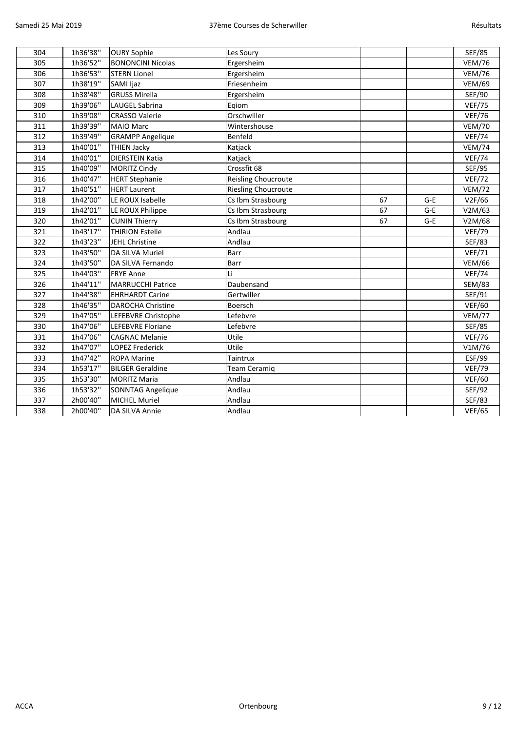| 304 | 1h36'38" | <b>OURY Sophie</b>       | Les Soury                  |    |       | <b>SEF/85</b> |
|-----|----------|--------------------------|----------------------------|----|-------|---------------|
| 305 | 1h36'52" | <b>BONONCINI Nicolas</b> | Ergersheim                 |    |       | <b>VEM/76</b> |
| 306 | 1h36'53" | <b>STERN Lionel</b>      | Ergersheim                 |    |       | <b>VEM/76</b> |
| 307 | 1h38'19" | SAMI Ijaz                | Friesenheim                |    |       | <b>VEM/69</b> |
| 308 | 1h38'48" | <b>GRUSS Mirella</b>     | Ergersheim                 |    |       | SEF/90        |
| 309 | 1h39'06" | LAUGEL Sabrina           | Eqiom                      |    |       | <b>VEF/75</b> |
| 310 | 1h39'08" | <b>CRASSO Valerie</b>    | Orschwiller                |    |       | <b>VEF/76</b> |
| 311 | 1h39'39" | <b>MAIO Marc</b>         | Wintershouse               |    |       | <b>VEM/70</b> |
| 312 | 1h39'49" | <b>GRAMPP Angelique</b>  | Benfeld                    |    |       | <b>VEF/74</b> |
| 313 | 1h40'01" | <b>THIEN Jacky</b>       | Katjack                    |    |       | <b>VEM/74</b> |
| 314 | 1h40'01" | <b>DIERSTEIN Katia</b>   | Katjack                    |    |       | <b>VEF/74</b> |
| 315 | 1h40'09" | <b>MORITZ Cindy</b>      | Crossfit 68                |    |       | <b>SEF/95</b> |
| 316 | 1h40'47" | <b>HERT Stephanie</b>    | Reisling Choucroute        |    |       | <b>VEF/72</b> |
| 317 | 1h40'51" | <b>HERT Laurent</b>      | <b>Riesling Choucroute</b> |    |       | <b>VEM/72</b> |
| 318 | 1h42'00" | LE ROUX Isabelle         | Cs Ibm Strasbourg          | 67 | $G-E$ | V2F/66        |
| 319 | 1h42'01" | LE ROUX Philippe         | Cs Ibm Strasbourg          | 67 | $G-E$ | V2M/63        |
| 320 | 1h42'01" | <b>CUNIN Thierry</b>     | Cs Ibm Strasbourg          | 67 | $G-E$ | V2M/68        |
| 321 | 1h43'17" | <b>THIRION Estelle</b>   | Andlau                     |    |       | <b>VEF/79</b> |
| 322 | 1h43'23" | JEHL Christine           | Andlau                     |    |       | <b>SEF/83</b> |
| 323 | 1h43'50" | <b>DA SILVA Muriel</b>   | Barr                       |    |       | <b>VEF/71</b> |
| 324 | 1h43'50" | DA SILVA Fernando        | Barr                       |    |       | <b>VEM/66</b> |
| 325 | 1h44'03" | <b>FRYE Anne</b>         | Li                         |    |       | <b>VEF/74</b> |
| 326 | 1h44'11" | <b>MARRUCCHI Patrice</b> | Daubensand                 |    |       | <b>SEM/83</b> |
| 327 | 1h44'38" | <b>EHRHARDT Carine</b>   | Gertwiller                 |    |       | SEF/91        |
| 328 | 1h46'35" | <b>DAROCHA Christine</b> | Boersch                    |    |       | <b>VEF/60</b> |
| 329 | 1h47'05" | LEFEBVRE Christophe      | Lefebvre                   |    |       | <b>VEM/77</b> |
| 330 | 1h47'06" | <b>LEFEBVRE Floriane</b> | Lefebvre                   |    |       | <b>SEF/85</b> |
| 331 | 1h47'06" | <b>CAGNAC Melanie</b>    | Utile                      |    |       | <b>VEF/76</b> |
| 332 | 1h47'07" | <b>LOPEZ Frederick</b>   | Utile                      |    |       | V1M/76        |
| 333 | 1h47'42" | <b>ROPA Marine</b>       | Taintrux                   |    |       | ESF/99        |
| 334 | 1h53'17" | <b>BILGER Geraldine</b>  | Team Ceramiq               |    |       | <b>VEF/79</b> |
| 335 | 1h53'30" | <b>MORITZ Maria</b>      | Andlau                     |    |       | <b>VEF/60</b> |
| 336 | 1h53'32" | <b>SONNTAG Angelique</b> | Andlau                     |    |       | SEF/92        |
| 337 | 2h00'40" | <b>MICHEL Muriel</b>     | Andlau                     |    |       | SEF/83        |
| 338 | 2h00'40" | DA SILVA Annie           | Andlau                     |    |       | <b>VEF/65</b> |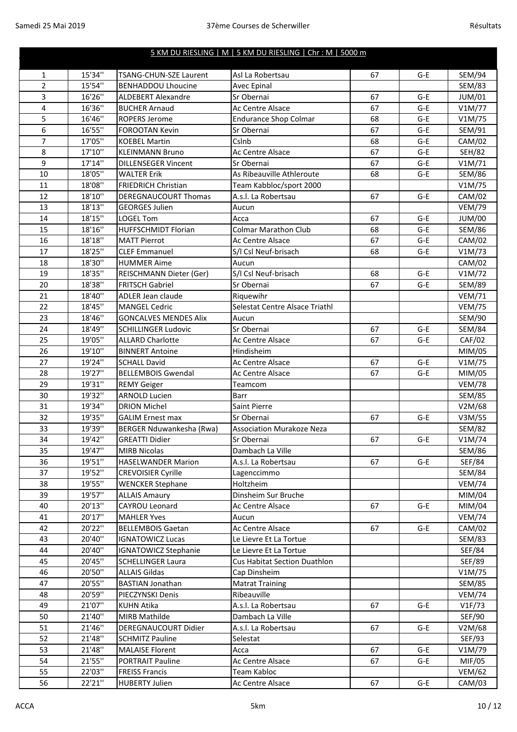## 5 KM DU RIESLING | M | 5 KM DU RIESLING | Chr : M | 5000 m

| $\mathbf{1}$   | 15'34" | <b>TSANG-CHUN-SZE Laurent</b> | Asl La Robertsau                    | 67 | $G-E$ | <b>SEM/94</b>           |
|----------------|--------|-------------------------------|-------------------------------------|----|-------|-------------------------|
| $\overline{2}$ | 15'54" | <b>BENHADDOU Lhoucine</b>     | Avec Epinal                         |    |       | <b>SEM/83</b>           |
| 3              | 16'26" | <b>ALDEBERT Alexandre</b>     | Sr Obernai                          | 67 | G-E   | JUM/01                  |
| $\overline{4}$ | 16'36" | <b>BUCHER Arnaud</b>          | Ac Centre Alsace                    | 67 | G-E   | V1M/77                  |
| 5              | 16'46" | <b>ROPERS Jerome</b>          | <b>Endurance Shop Colmar</b>        | 68 | G-E   | V1M/75                  |
| $\overline{6}$ | 16'55" | <b>FOROOTAN Kevin</b>         | Sr Obernai                          | 67 | G-E   | SEM/91                  |
| $\overline{7}$ | 17'05" | <b>KOEBEL Martin</b>          | Cslnb                               | 68 | G-E   | <b>CAM/02</b>           |
| 8              | 17'10" | <b>KLEINMANN Bruno</b>        | Ac Centre Alsace                    | 67 | $G-E$ | <b>SEH/82</b>           |
| 9              | 17'14" | <b>DILLENSEGER Vincent</b>    | Sr Obernai                          | 67 | G-E   | V1M/71                  |
| 10             | 18'05" | <b>WALTER Erik</b>            | As Ribeauville Athleroute           | 68 | G-E   |                         |
| 11             | 18'08" | <b>FRIEDRICH Christian</b>    | Team Kabbloc/sport 2000             |    |       | <b>SEM/86</b><br>V1M/75 |
| 12             | 18'10" |                               | A.s.l. La Robertsau                 | 67 | $G-E$ |                         |
|                |        | DEREGNAUCOURT Thomas          |                                     |    |       | CAM/02                  |
| 13             | 18'13" | <b>GEORGES Julien</b>         | Aucun                               |    |       | <b>VEM/79</b>           |
| 14             | 18'15" | <b>LOGEL Tom</b>              | Acca                                | 67 | $G-E$ | <b>JUM/00</b>           |
| 15             | 18'16" | <b>HUFFSCHMIDT Florian</b>    | <b>Colmar Marathon Club</b>         | 68 | $G-E$ | <b>SEM/86</b>           |
| 16             | 18'18" | <b>MATT Pierrot</b>           | Ac Centre Alsace                    | 67 | $G-E$ | CAM/02                  |
| 17             | 18'25" | <b>CLEF Emmanuel</b>          | S/I Csl Neuf-brisach                | 68 | $G-E$ | V1M/73                  |
| 18             | 18'30" | <b>HUMMER Aime</b>            | Aucun                               |    |       | CAM/02                  |
| 19             | 18'35" | REISCHMANN Dieter (Ger)       | S/I Csl Neuf-brisach                | 68 | $G-E$ | V1M/72                  |
| 20             | 18'38" | <b>FRITSCH Gabriel</b>        | Sr Obernai                          | 67 | $G-E$ | <b>SEM/89</b>           |
| 21             | 18'40" | ADLER Jean claude             | Riquewihr                           |    |       | <b>VEM/71</b>           |
| 22             | 18'45" | <b>MANGEL Cedric</b>          | Selestat Centre Alsace Triathl      |    |       | <b>VEM/75</b>           |
| 23             | 18'46" | <b>GONCALVES MENDES Alix</b>  | Aucun                               |    |       | SEM/90                  |
| 24             | 18'49" | <b>SCHILLINGER Ludovic</b>    | Sr Obernai                          | 67 | $G-E$ | <b>SEM/84</b>           |
| 25             | 19'05" | <b>ALLARD Charlotte</b>       | Ac Centre Alsace                    | 67 | $G-E$ | CAF/02                  |
| 26             | 19'10" | <b>BINNERT Antoine</b>        | Hindisheim                          |    |       | MIM/05                  |
| 27             | 19'24" | <b>SCHALL David</b>           | Ac Centre Alsace                    | 67 | G-E   | V1M/75                  |
| 28             | 19'27" | <b>BELLEMBOIS Gwendal</b>     | Ac Centre Alsace                    | 67 | G-E   | MIM/05                  |
| 29             | 19'31" | <b>REMY Geiger</b>            | Teamcom                             |    |       | <b>VEM/78</b>           |
| 30             | 19'32" | <b>ARNOLD Lucien</b>          | Barr                                |    |       | <b>SEM/85</b>           |
| 31             | 19'34" | <b>DRION Michel</b>           | Saint Pierre                        |    |       | V2M/68                  |
| 32             | 19'35" | <b>GALIM Ernest max</b>       | Sr Obernai                          | 67 | G-E   | V3M/55                  |
| 33             | 19'39" | BERGER Nduwankesha (Rwa)      | <b>Association Murakoze Neza</b>    |    |       | <b>SEM/82</b>           |
| 34             | 19'42" | <b>GREATTI Didier</b>         | Sr Obernai                          | 67 | G-E   | V1M/74                  |
| 35             | 19'47" | <b>MIRB Nicolas</b>           | Dambach La Ville                    |    |       | <b>SEM/86</b>           |
| 36             | 19'51" | <b>HASELWANDER Marion</b>     | A.s.l. La Robertsau                 | 67 | G-E   | SEF/84                  |
| 37             | 19'52" | <b>CREVOISIER Cyrille</b>     | Lagenccimmo                         |    |       | <b>SEM/84</b>           |
| 38             | 19'55" | <b>WENCKER Stephane</b>       | Holtzheim                           |    |       | <b>VEM/74</b>           |
| 39             | 19'57" | <b>ALLAIS Amaury</b>          | Dinsheim Sur Bruche                 |    |       | MIM/04                  |
| 40             | 20'13" | CAYROU Leonard                | Ac Centre Alsace                    | 67 | G-E   | MIM/04                  |
| 41             | 20'17" | <b>MAHLER Yves</b>            | Aucun                               |    |       | <b>VEM/74</b>           |
| 42             | 20'22" | <b>BELLEMBOIS Gaetan</b>      | Ac Centre Alsace                    | 67 | $G-E$ | CAM/02                  |
| 43             | 20'40" | <b>IGNATOWICZ Lucas</b>       | Le Lievre Et La Tortue              |    |       | <b>SEM/83</b>           |
| 44             | 20'40" | <b>IGNATOWICZ Stephanie</b>   | Le Lievre Et La Tortue              |    |       | <b>SEF/84</b>           |
| 45             | 20'45" | <b>SCHELLINGER Laura</b>      | <b>Cus Habitat Section Duathlon</b> |    |       | SEF/89                  |
| 46             | 20'50" | <b>ALLAIS Gildas</b>          | Cap Dinsheim                        |    |       | V1M/75                  |
| 47             | 20'55" | <b>BASTIAN Jonathan</b>       | <b>Matrat Training</b>              |    |       | <b>SEM/85</b>           |
| 48             | 20'59" | PIECZYNSKI Denis              | Ribeauville                         |    |       | <b>VEM/74</b>           |
| 49             | 21'07" | <b>KUHN Atika</b>             | A.s.l. La Robertsau                 | 67 | G-E   | VIF/73                  |
| 50             | 21'40" | <b>MIRB Mathilde</b>          | Dambach La Ville                    |    |       | SEF/90                  |
| 51             | 21'46" | <b>DEREGNAUCOURT Didier</b>   | A.s.l. La Robertsau                 | 67 | G-E   | V2M/68                  |
| 52             | 21'48" | <b>SCHMITZ Pauline</b>        | Selestat                            |    |       | SEF/93                  |
| 53             | 21'48" | <b>MALAISE Florent</b>        | Acca                                | 67 | G-E   | V1M/79                  |
| 54             | 21'55" | PORTRAIT Pauline              | Ac Centre Alsace                    | 67 | G-E   | MIF/05                  |
| 55             | 22'03" | <b>FREISS Francis</b>         | Team Kabloc                         |    |       | <b>VEM/62</b>           |
| 56             | 22'21" | <b>HUBERTY Julien</b>         | Ac Centre Alsace                    | 67 | G-E   | CAM/03                  |
|                |        |                               |                                     |    |       |                         |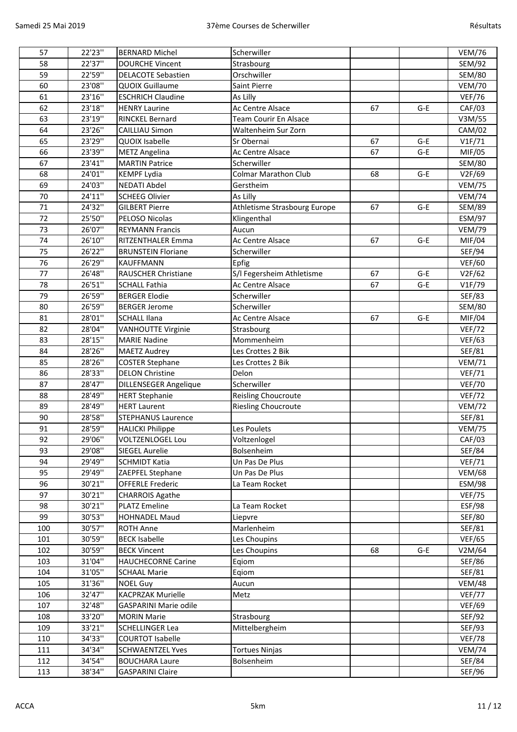| 57  | 22'23"  | <b>BERNARD Michel</b>        | Scherwiller                  |    |       | <b>VEM/76</b> |
|-----|---------|------------------------------|------------------------------|----|-------|---------------|
| 58  | 22'37"  | <b>DOURCHE Vincent</b>       | Strasbourg                   |    |       | <b>SEM/92</b> |
| 59  | 22'59"  | <b>DELACOTE Sebastien</b>    | Orschwiller                  |    |       | <b>SEM/80</b> |
| 60  | 23'08"  | <b>QUOIX Guillaume</b>       | Saint Pierre                 |    |       | <b>VEM/70</b> |
| 61  | 23'16"  | <b>ESCHRICH Claudine</b>     | As Lilly                     |    |       | <b>VEF/76</b> |
| 62  | 23'18"  | <b>HENRY Laurine</b>         | Ac Centre Alsace             | 67 | $G-E$ | CAF/03        |
| 63  | 23'19"  | <b>RINCKEL Bernard</b>       | <b>Team Courir En Alsace</b> |    |       | V3M/55        |
| 64  | 23'26"  | <b>CAILLIAU Simon</b>        | Waltenheim Sur Zorn          |    |       | CAM/02        |
| 65  | 23'29"  | QUOIX Isabelle               | Sr Obernai                   | 67 | $G-E$ | VIF/71        |
| 66  | 23'39"  | <b>METZ Angelina</b>         | Ac Centre Alsace             | 67 | G-E   | MIF/05        |
| 67  | 23'41"  | <b>MARTIN Patrice</b>        | Scherwiller                  |    |       | <b>SEM/80</b> |
| 68  | 24'01"  | <b>KEMPF Lydia</b>           | <b>Colmar Marathon Club</b>  | 68 | G-E   | V2F/69        |
| 69  | 24'03"  | <b>NEDATI Abdel</b>          | Gerstheim                    |    |       | <b>VEM/75</b> |
| 70  | 24'11"  | <b>SCHEEG Olivier</b>        | As Lilly                     |    |       | <b>VEM/74</b> |
| 71  | 24'32"  | <b>GILBERT Pierre</b>        | Athletisme Strasbourg Europe | 67 | $G-E$ | <b>SEM/89</b> |
| 72  | 25'50"  | PELOSO Nicolas               | Klingenthal                  |    |       | <b>ESM/97</b> |
| 73  | 26'07"  | <b>REYMANN Francis</b>       | Aucun                        |    |       | <b>VEM/79</b> |
| 74  | 26'10"  | <b>RITZENTHALER Emma</b>     | Ac Centre Alsace             | 67 | $G-E$ | MIF/04        |
| 75  | 26'22"  | <b>BRUNSTEIN Floriane</b>    | Scherwiller                  |    |       | SEF/94        |
| 76  | 26'29"  | <b>KAUFFMANN</b>             | Epfig                        |    |       | <b>VEF/60</b> |
| 77  | 26'48"  | <b>RAUSCHER Christiane</b>   | S/I Fegersheim Athletisme    | 67 | G-E   | V2F/62        |
| 78  | 26'51"  | <b>SCHALL Fathia</b>         | Ac Centre Alsace             | 67 | $G-E$ | V1F/79        |
| 79  | 26'59"  | <b>BERGER Elodie</b>         | Scherwiller                  |    |       | <b>SEF/83</b> |
| 80  | 26'59"  | <b>BERGER Jerome</b>         | Scherwiller                  |    |       | <b>SEM/80</b> |
| 81  | 28'01"  | <b>SCHALL Ilana</b>          | Ac Centre Alsace             | 67 | G-E   | MIF/04        |
| 82  | 28'04"  | <b>VANHOUTTE Virginie</b>    | Strasbourg                   |    |       | <b>VEF/72</b> |
| 83  | 28'15"  | <b>MARIE Nadine</b>          | Mommenheim                   |    |       | <b>VEF/63</b> |
| 84  | 28'26"  | <b>MAETZ Audrey</b>          | Les Crottes 2 Bik            |    |       | SEF/81        |
| 85  | 28'26"  | <b>COSTER Stephane</b>       | Les Crottes 2 Bik            |    |       | <b>VEM/71</b> |
| 86  | 28'33"  | <b>DELON Christine</b>       | Delon                        |    |       | <b>VEF/71</b> |
| 87  | 28'47"  | <b>DILLENSEGER Angelique</b> | Scherwiller                  |    |       | <b>VEF/70</b> |
| 88  | 28'49"  | <b>HERT Stephanie</b>        | Reisling Choucroute          |    |       | <b>VEF/72</b> |
| 89  | 28'49"  | <b>HERT Laurent</b>          | <b>Riesling Choucroute</b>   |    |       | <b>VEM/72</b> |
| 90  | 28'58"  | <b>STEPHANUS Laurence</b>    |                              |    |       | SEF/81        |
| 91  | 28'59"  | <b>HALICKI Philippe</b>      | Les Poulets                  |    |       | <b>VEM/75</b> |
| 92  | 29'06'' | <b>VOLTZENLOGEL Lou</b>      | Voltzenlogel                 |    |       | CAF/03        |
| 93  | 29'08"  | <b>SIEGEL Aurelie</b>        | Bolsenheim                   |    |       | <b>SEF/84</b> |
| 94  | 29'49"  | <b>SCHMIDT Katia</b>         | Un Pas De Plus               |    |       | <b>VEF/71</b> |
| 95  | 29'49"  | ZAEPFEL Stephane             | Un Pas De Plus               |    |       | <b>VEM/68</b> |
| 96  | 30'21"  | <b>OFFERLE Frederic</b>      | La Team Rocket               |    |       | <b>ESM/98</b> |
| 97  | 30'21"  | <b>CHARROIS Agathe</b>       |                              |    |       | <b>VEF/75</b> |
| 98  | 30'21"  | <b>PLATZ Emeline</b>         | La Team Rocket               |    |       | <b>ESF/98</b> |
| 99  | 30'53"  | <b>HOHNADEL Maud</b>         | Liepvre                      |    |       | <b>SEF/80</b> |
| 100 | 30'57"  | <b>ROTH Anne</b>             | Marlenheim                   |    |       | SEF/81        |
| 101 | 30'59"  | <b>BECK Isabelle</b>         | Les Choupins                 |    |       | <b>VEF/65</b> |
| 102 | 30'59"  | <b>BECK Vincent</b>          | Les Choupins                 | 68 | G-E   | V2M/64        |
| 103 | 31'04"  | <b>HAUCHECORNE Carine</b>    | Eqiom                        |    |       | SEF/86        |
| 104 | 31'05"  | <b>SCHAAL Marie</b>          | Eqiom                        |    |       | SEF/81        |
| 105 | 31'36"  | <b>NOEL Guy</b>              | Aucun                        |    |       | <b>VEM/48</b> |
| 106 | 32'47"  | <b>KACPRZAK Murielle</b>     | Metz                         |    |       | <b>VEF/77</b> |
| 107 | 32'48"  | <b>GASPARINI Marie odile</b> |                              |    |       | <b>VEF/69</b> |
| 108 | 33'20"  | <b>MORIN Marie</b>           | Strasbourg                   |    |       | SEF/92        |
| 109 | 33'21"  | <b>SCHELLINGER Lea</b>       | Mittelbergheim               |    |       | SEF/93        |
| 110 | 34'33"  | <b>COURTOT Isabelle</b>      |                              |    |       | <b>VEF/78</b> |
| 111 | 34'34"  | <b>SCHWAENTZEL Yves</b>      | <b>Tortues Ninjas</b>        |    |       | <b>VEM/74</b> |
| 112 | 34'54"  | <b>BOUCHARA Laure</b>        | Bolsenheim                   |    |       | SEF/84        |
| 113 | 38'34"  | <b>GASPARINI Claire</b>      |                              |    |       | SEF/96        |